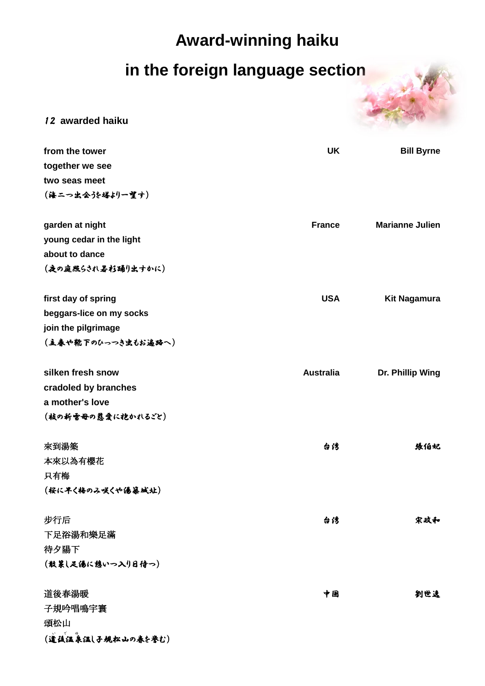## **Award-winning haiku**

## **in the foreign language section**



12 **awarded haiku**

| from the tower           | <b>UK</b>        | <b>Bill Byrne</b>      |
|--------------------------|------------------|------------------------|
| together we see          |                  |                        |
| two seas meet            |                  |                        |
| (海二つ出会)を塔より一望す)          |                  |                        |
|                          |                  |                        |
| garden at night          | <b>France</b>    | <b>Marianne Julien</b> |
| young cedar in the light |                  |                        |
| about to dance           |                  |                        |
| (夜の庭照らされ暑杉踊り出すかに)        |                  |                        |
|                          |                  |                        |
| first day of spring      | <b>USA</b>       | <b>Kit Nagamura</b>    |
| beggars-lice on my socks |                  |                        |
| join the pilgrimage      |                  |                        |
| (主春や靴下のひっつき虫もお遍路へ)       |                  |                        |
|                          |                  |                        |
| silken fresh snow        | <b>Australia</b> | Dr. Phillip Wing       |
| cradoled by branches     |                  |                        |
| a mother's love          |                  |                        |
| (枝の新雪母の慈愛に抱かれるごと)        |                  |                        |
|                          |                  |                        |
| 來到湯築                     | 台湾               | 張伯妃                    |
| 本來以為有櫻花                  |                  |                        |
| 只有梅                      |                  |                        |
| (桜に早く梅のみ咲くや湯幕城址)         |                  |                        |
|                          |                  |                        |
| 步行后                      | 台湾               | 宋政和                    |
| 下足浴湯和樂足滿                 |                  |                        |
| 待夕陽下<br>(散策し足湯に憩いつ入り日待つ) |                  |                        |
|                          |                  |                        |
| 道後春湯暖                    | 中国               | 劉世遠                    |
| 子規吟唱鳴宇寰                  |                  |                        |
| 頌松山                      |                  |                        |
| (道徒温泉温し子規松山の春を挙む)        |                  |                        |